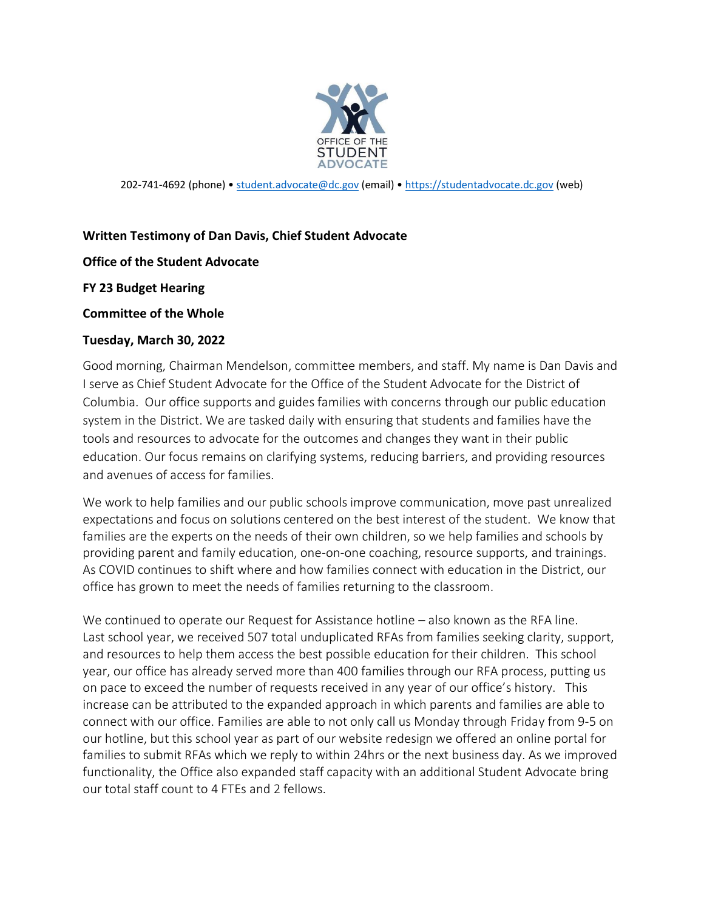

202-741-4692 (phone) • [student.advocate@dc.gov](mailto:student.advocate@dc.gov) (email) • [https://studentadvocate.dc.gov](https://studentadvocate.dc.gov/) (web)

## **Written Testimony of Dan Davis, Chief Student Advocate**

## **Office of the Student Advocate**

**FY 23 Budget Hearing**

## **Committee of the Whole**

## **Tuesday, March 30, 2022**

Good morning, Chairman Mendelson, committee members, and staff. My name is Dan Davis and I serve as Chief Student Advocate for the Office of the Student Advocate for the District of Columbia. Our office supports and guides families with concerns through our public education system in the District. We are tasked daily with ensuring that students and families have the tools and resources to advocate for the outcomes and changes they want in their public education. Our focus remains on clarifying systems, reducing barriers, and providing resources and avenues of access for families.

We work to help families and our public schools improve communication, move past unrealized expectations and focus on solutions centered on the best interest of the student. We know that families are the experts on the needs of their own children, so we help families and schools by providing parent and family education, one-on-one coaching, resource supports, and trainings. As COVID continues to shift where and how families connect with education in the District, our office has grown to meet the needs of families returning to the classroom.

We continued to operate our Request for Assistance hotline – also known as the RFA line. Last school year, we received 507 total unduplicated RFAs from families seeking clarity, support, and resources to help them access the best possible education for their children. This school year, our office has already served more than 400 families through our RFA process, putting us on pace to exceed the number of requests received in any year of our office's history. This increase can be attributed to the expanded approach in which parents and families are able to connect with our office. Families are able to not only call us Monday through Friday from 9-5 on our hotline, but this school year as part of our website redesign we offered an online portal for families to submit RFAs which we reply to within 24hrs or the next business day. As we improved functionality, the Office also expanded staff capacity with an additional Student Advocate bring our total staff count to 4 FTEs and 2 fellows.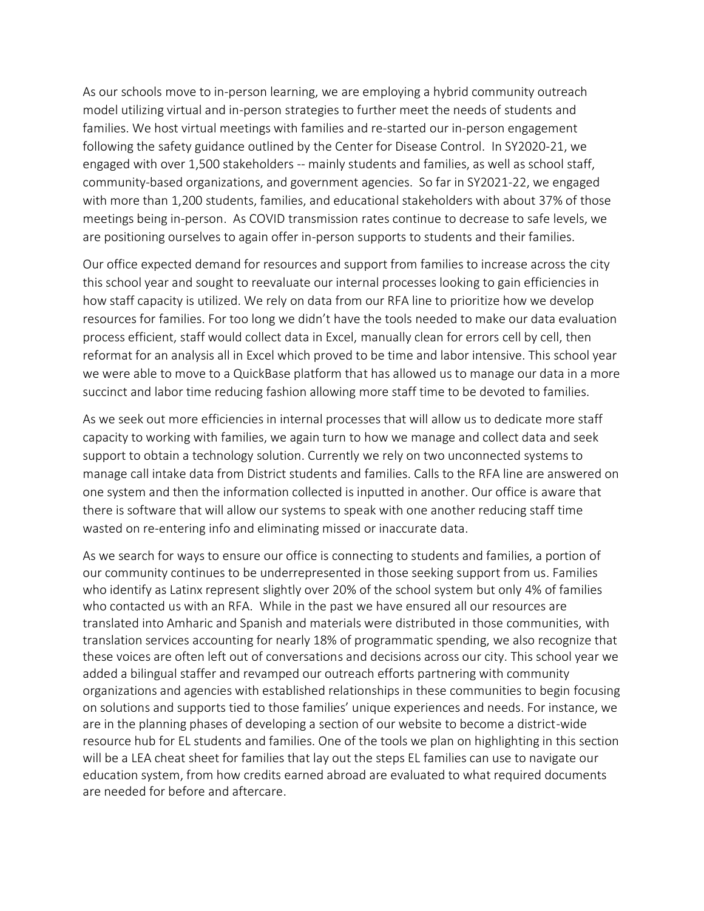As our schools move to in-person learning, we are employing a hybrid community outreach model utilizing virtual and in-person strategies to further meet the needs of students and families. We host virtual meetings with families and re-started our in-person engagement following the safety guidance outlined by the Center for Disease Control. In SY2020-21, we engaged with over 1,500 stakeholders -- mainly students and families, as well as school staff, community-based organizations, and government agencies. So far in SY2021-22, we engaged with more than 1,200 students, families, and educational stakeholders with about 37% of those meetings being in-person. As COVID transmission rates continue to decrease to safe levels, we are positioning ourselves to again offer in-person supports to students and their families.

Our office expected demand for resources and support from families to increase across the city this school year and sought to reevaluate our internal processes looking to gain efficiencies in how staff capacity is utilized. We rely on data from our RFA line to prioritize how we develop resources for families. For too long we didn't have the tools needed to make our data evaluation process efficient, staff would collect data in Excel, manually clean for errors cell by cell, then reformat for an analysis all in Excel which proved to be time and labor intensive. This school year we were able to move to a QuickBase platform that has allowed us to manage our data in a more succinct and labor time reducing fashion allowing more staff time to be devoted to families.

As we seek out more efficiencies in internal processes that will allow us to dedicate more staff capacity to working with families, we again turn to how we manage and collect data and seek support to obtain a technology solution. Currently we rely on two unconnected systems to manage call intake data from District students and families. Calls to the RFA line are answered on one system and then the information collected is inputted in another. Our office is aware that there is software that will allow our systems to speak with one another reducing staff time wasted on re-entering info and eliminating missed or inaccurate data.

As we search for ways to ensure our office is connecting to students and families, a portion of our community continues to be underrepresented in those seeking support from us. Families who identify as Latinx represent slightly over 20% of the school system but only 4% of families who contacted us with an RFA. While in the past we have ensured all our resources are translated into Amharic and Spanish and materials were distributed in those communities, with translation services accounting for nearly 18% of programmatic spending, we also recognize that these voices are often left out of conversations and decisions across our city. This school year we added a bilingual staffer and revamped our outreach efforts partnering with community organizations and agencies with established relationships in these communities to begin focusing on solutions and supports tied to those families' unique experiences and needs. For instance, we are in the planning phases of developing a section of our website to become a district-wide resource hub for EL students and families. One of the tools we plan on highlighting in this section will be a LEA cheat sheet for families that lay out the steps EL families can use to navigate our education system, from how credits earned abroad are evaluated to what required documents are needed for before and aftercare.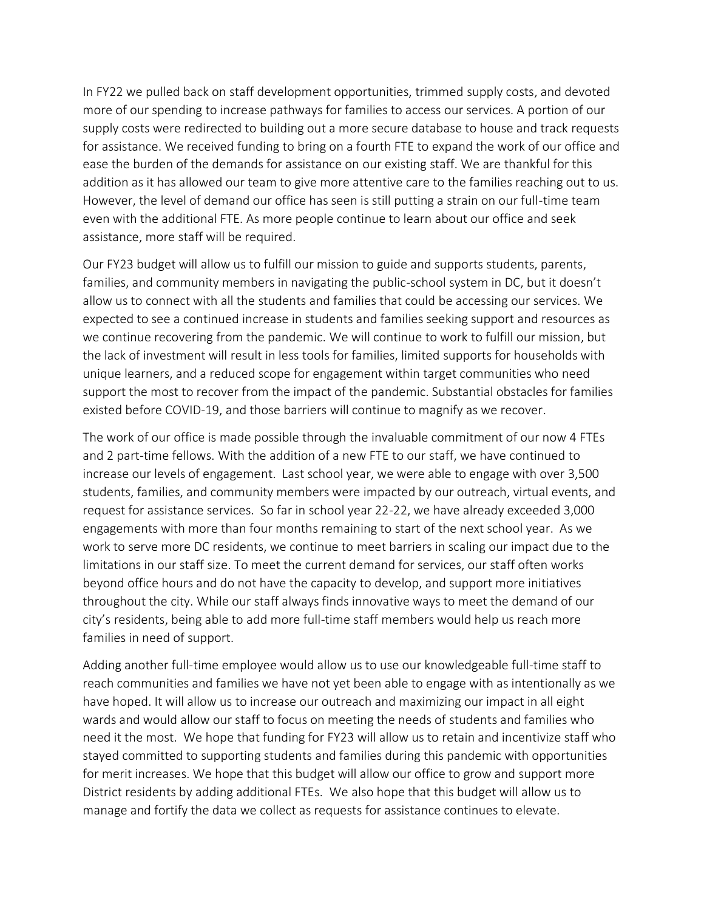In FY22 we pulled back on staff development opportunities, trimmed supply costs, and devoted more of our spending to increase pathways for families to access our services. A portion of our supply costs were redirected to building out a more secure database to house and track requests for assistance. We received funding to bring on a fourth FTE to expand the work of our office and ease the burden of the demands for assistance on our existing staff. We are thankful for this addition as it has allowed our team to give more attentive care to the families reaching out to us. However, the level of demand our office has seen is still putting a strain on our full-time team even with the additional FTE. As more people continue to learn about our office and seek assistance, more staff will be required.

Our FY23 budget will allow us to fulfill our mission to guide and supports students, parents, families, and community members in navigating the public-school system in DC, but it doesn't allow us to connect with all the students and families that could be accessing our services. We expected to see a continued increase in students and families seeking support and resources as we continue recovering from the pandemic. We will continue to work to fulfill our mission, but the lack of investment will result in less tools for families, limited supports for households with unique learners, and a reduced scope for engagement within target communities who need support the most to recover from the impact of the pandemic. Substantial obstacles for families existed before COVID-19, and those barriers will continue to magnify as we recover.

The work of our office is made possible through the invaluable commitment of our now 4 FTEs and 2 part-time fellows. With the addition of a new FTE to our staff, we have continued to increase our levels of engagement. Last school year, we were able to engage with over 3,500 students, families, and community members were impacted by our outreach, virtual events, and request for assistance services. So far in school year 22-22, we have already exceeded 3,000 engagements with more than four months remaining to start of the next school year. As we work to serve more DC residents, we continue to meet barriers in scaling our impact due to the limitations in our staff size. To meet the current demand for services, our staff often works beyond office hours and do not have the capacity to develop, and support more initiatives throughout the city. While our staff always finds innovative ways to meet the demand of our city's residents, being able to add more full-time staff members would help us reach more families in need of support.

Adding another full-time employee would allow us to use our knowledgeable full-time staff to reach communities and families we have not yet been able to engage with as intentionally as we have hoped. It will allow us to increase our outreach and maximizing our impact in all eight wards and would allow our staff to focus on meeting the needs of students and families who need it the most. We hope that funding for FY23 will allow us to retain and incentivize staff who stayed committed to supporting students and families during this pandemic with opportunities for merit increases. We hope that this budget will allow our office to grow and support more District residents by adding additional FTEs. We also hope that this budget will allow us to manage and fortify the data we collect as requests for assistance continues to elevate.